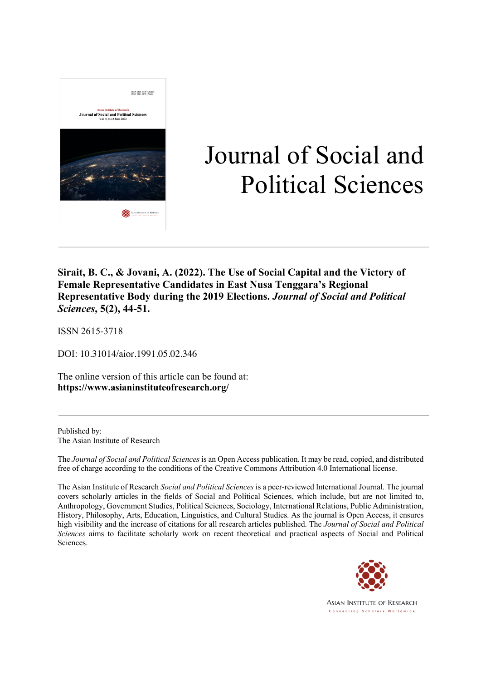

# Journal of Social and Political Sciences

**Sirait, B. C., & Jovani, A. (2022). The Use of Social Capital and the Victory of Female Representative Candidates in East Nusa Tenggara's Regional Representative Body during the 2019 Elections.** *Journal of Social and Political Sciences***, 5(2), 44-51.**

ISSN 2615-3718

DOI: 10.31014/aior.1991.05.02.346

The online version of this article can be found at: **https://www.asianinstituteofresearch.org/**

Published by: The Asian Institute of Research

The *Journal of Social and Political Sciences* is an Open Access publication. It may be read, copied, and distributed free of charge according to the conditions of the Creative Commons Attribution 4.0 International license.

The Asian Institute of Research *Social and Political Sciences* is a peer-reviewed International Journal. The journal covers scholarly articles in the fields of Social and Political Sciences, which include, but are not limited to, Anthropology, Government Studies, Political Sciences, Sociology, International Relations, Public Administration, History, Philosophy, Arts, Education, Linguistics, and Cultural Studies. As the journal is Open Access, it ensures high visibility and the increase of citations for all research articles published. The *Journal of Social and Political Sciences* aims to facilitate scholarly work on recent theoretical and practical aspects of Social and Political Sciences.



Asian Institute of Research Connecting Scholars Worldwide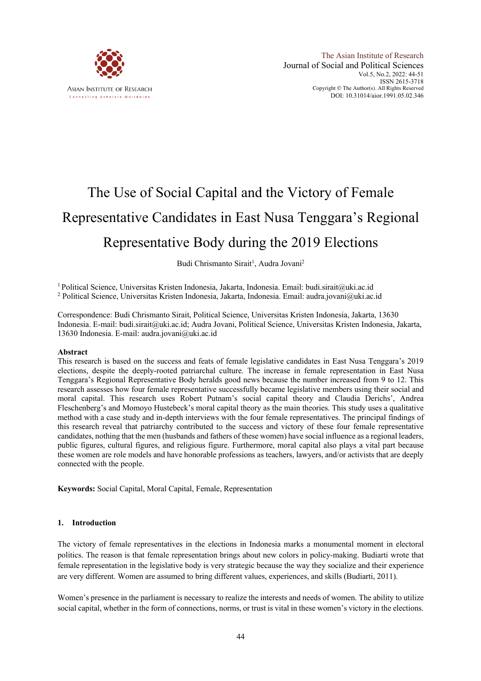

# The Use of Social Capital and the Victory of Female Representative Candidates in East Nusa Tenggara's Regional Representative Body during the 2019 Elections

Budi Chrismanto Sirait<sup>1</sup>, Audra Jovani<sup>2</sup>

<sup>1</sup> Political Science, Universitas Kristen Indonesia, Jakarta, Indonesia. Email: budi.sirait@uki.ac.id <sup>2</sup> Political Science, Universitas Kristen Indonesia, Jakarta, Indonesia. Email: audra.jovani@uki.ac.id

Correspondence: Budi Chrismanto Sirait, Political Science, Universitas Kristen Indonesia, Jakarta, 13630 Indonesia. E-mail: budi.sirait@uki.ac.id; Audra Jovani, Political Science, Universitas Kristen Indonesia, Jakarta, 13630 Indonesia. E-mail: audra.jovani@uki.ac.id

## **Abstract**

This research is based on the success and feats of female legislative candidates in East Nusa Tenggara's 2019 elections, despite the deeply-rooted patriarchal culture. The increase in female representation in East Nusa Tenggara's Regional Representative Body heralds good news because the number increased from 9 to 12. This research assesses how four female representative successfully became legislative members using their social and moral capital. This research uses Robert Putnam's social capital theory and Claudia Derichs', Andrea Fleschenberg's and Momoyo Hustebeck's moral capital theory as the main theories. This study uses a qualitative method with a case study and in-depth interviews with the four female representatives. The principal findings of this research reveal that patriarchy contributed to the success and victory of these four female representative candidates, nothing that the men (husbands and fathers of these women) have social influence as a regional leaders, public figures, cultural figures, and religious figure. Furthermore, moral capital also plays a vital part because these women are role models and have honorable professions as teachers, lawyers, and/or activists that are deeply connected with the people.

**Keywords:** Social Capital, Moral Capital, Female, Representation

#### **1. Introduction**

The victory of female representatives in the elections in Indonesia marks a monumental moment in electoral politics. The reason is that female representation brings about new colors in policy-making. Budiarti wrote that female representation in the legislative body is very strategic because the way they socialize and their experience are very different. Women are assumed to bring different values, experiences, and skills (Budiarti, 2011).

Women's presence in the parliament is necessary to realize the interests and needs of women. The ability to utilize social capital, whether in the form of connections, norms, or trust is vital in these women's victory in the elections.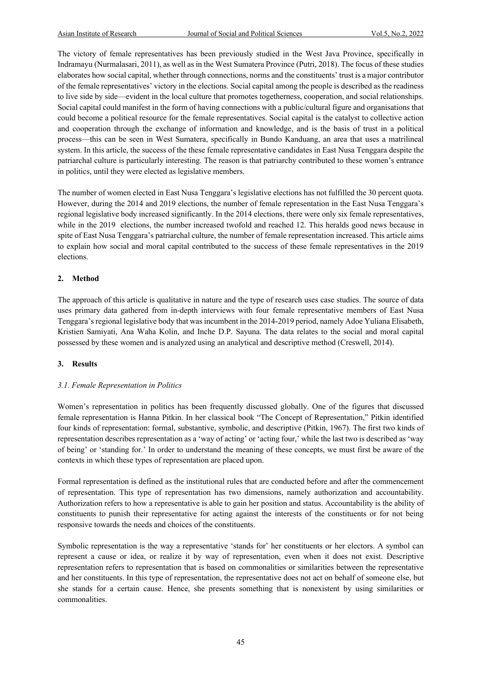The victory of female representatives has been previously studied in the West Java Province, specifically in Indramayu (Nurmalasari, 2011), as well as in the West Sumatera Province (Putri, 2018). The focus of these studies elaborates how social capital, whether through connections, norms and the constituents' trust is a major contributor of the female representatives' victory in the elections. Social capital among the people is described as the readiness to live side by side—evident in the local culture that promotes togetherness, cooperation, and social relationships. Social capital could manifest in the form of having connections with a public/cultural figure and organisations that could become a political resource for the female representatives. Social capital is the catalyst to collective action and cooperation through the exchange of information and knowledge, and is the basis of trust in a political process—this can be seen in West Sumatera, specifically in Bundo Kanduang, an area that uses a matrilineal system. In this article, the success of the these female representative candidates in East Nusa Tenggara despite the patriarchal culture is particularly interesting. The reason is that patriarchy contributed to these women's entrance in politics, until they were elected as legislative members.

The number of women elected in East Nusa Tenggara's legislative elections has not fulfilled the 30 percent quota. However, during the 2014 and 2019 elections, the number of female representation in the East Nusa Tenggara's regional legislative body increased significantly. In the 2014 elections, there were only six female representatives, while in the 2019 elections, the number increased twofold and reached 12. This heralds good news because in spite of East Nusa Tenggara's patriarchal culture, the number of female representation increased. This article aims to explain how social and moral capital contributed to the success of these female representatives in the 2019 elections.

# **2. Method**

The approach of this article is qualitative in nature and the type of research uses case studies. The source of data uses primary data gathered from in-depth interviews with four female representative members of East Nusa Tenggara's regional legislative body that was incumbent in the 2014-2019 period, namely Adoe Yuliana Elisabeth, Kristien Samiyati, Ana Waha Kolin, and Inche D.P. Sayuna. The data relates to the social and moral capital possessed by these women and is analyzed using an analytical and descriptive method (Creswell, 2014).

# **3. Results**

# *3.1. Female Representation in Politics*

Women's representation in politics has been frequently discussed globally. One of the figures that discussed female representation is Hanna Pitkin. In her classical book "The Concept of Representation," Pitkin identified four kinds of representation: formal, substantive, symbolic, and descriptive (Pitkin, 1967). The first two kinds of representation describes representation as a 'way of acting' or 'acting four,' while the last two is described as 'way of being' or 'standing for.' In order to understand the meaning of these concepts, we must first be aware of the contexts in which these types of representation are placed upon.

Formal representation is defined as the institutional rules that are conducted before and after the commencement of representation. This type of representation has two dimensions, namely authorization and accountability. Authorization refers to how a representative is able to gain her position and status. Accountability is the ability of constituents to punish their representative for acting against the interests of the constituents or for not being responsive towards the needs and choices of the constituents.

Symbolic representation is the way a representative 'stands for' her constituents or her electors. A symbol can represent a cause or idea, or realize it by way of representation, even when it does not exist. Descriptive representation refers to representation that is based on commonalities or similarities between the representative and her constituents. In this type of representation, the representative does not act on behalf of someone else, but she stands for a certain cause. Hence, she presents something that is nonexistent by using similarities or commonalities.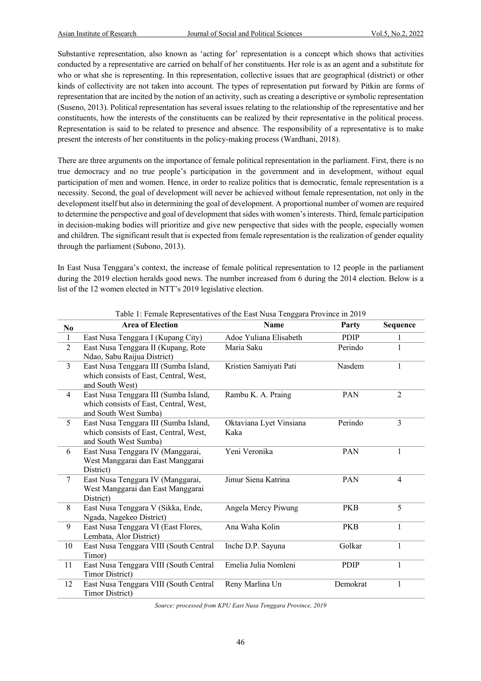Substantive representation, also known as 'acting for' representation is a concept which shows that activities conducted by a representative are carried on behalf of her constituents. Her role is as an agent and a substitute for who or what she is representing. In this representation, collective issues that are geographical (district) or other kinds of collectivity are not taken into account. The types of representation put forward by Pitkin are forms of representation that are incited by the notion of an activity, such as creating a descriptive or symbolic representation (Suseno, 2013). Political representation has several issues relating to the relationship of the representative and her constituents, how the interests of the constituents can be realized by their representative in the political process. Representation is said to be related to presence and absence. The responsibility of a representative is to make present the interests of her constituents in the policy-making process (Wardhani, 2018).

There are three arguments on the importance of female political representation in the parliament. First, there is no true democracy and no true people's participation in the government and in development, without equal participation of men and women. Hence, in order to realize politics that is democratic, female representation is a necessity. Second, the goal of development will never be achieved without female representation, not only in the development itself but also in determining the goal of development. A proportional number of women are required to determine the perspective and goal of development that sides with women's interests. Third, female participation in decision-making bodies will prioritize and give new perspective that sides with the people, especially women and children. The significant result that is expected from female representation is the realization of gender equality through the parliament (Subono, 2013).

In East Nusa Tenggara's context, the increase of female political representation to 12 people in the parliament during the 2019 election heralds good news. The number increased from 6 during the 2014 election. Below is a list of the 12 women elected in NTT's 2019 legislative election.

| $\bf No$       | <b>Area of Election</b>                                                                                  | '00<br><b>Name</b>              | Party       | Sequence       |
|----------------|----------------------------------------------------------------------------------------------------------|---------------------------------|-------------|----------------|
| $\mathbf{1}$   | East Nusa Tenggara I (Kupang City)                                                                       | Adoe Yuliana Elisabeth          | PDIP        | 1              |
| $\overline{2}$ | East Nusa Tenggara II (Kupang, Rote<br>Ndao, Sabu Raijua District)                                       | Maria Saku                      | Perindo     | 1              |
| $\mathfrak{Z}$ | East Nusa Tenggara III (Sumba Island,<br>which consists of East, Central, West,<br>and South West)       | Kristien Samiyati Pati          | Nasdem      | 1              |
| $\overline{4}$ | East Nusa Tenggara III (Sumba Island,<br>which consists of East, Central, West,<br>and South West Sumba) | Rambu K. A. Praing              | PAN         | $\overline{2}$ |
| 5              | East Nusa Tenggara III (Sumba Island,<br>which consists of East, Central, West,<br>and South West Sumba) | Oktaviana Lyet Vinsiana<br>Kaka | Perindo     | 3              |
| 6              | East Nusa Tenggara IV (Manggarai,<br>West Manggarai dan East Manggarai<br>District)                      | Yeni Veronika                   | PAN         | 1              |
| 7              | East Nusa Tenggara IV (Manggarai,<br>West Manggarai dan East Manggarai<br>District)                      | Jimur Siena Katrina             | PAN         | $\overline{4}$ |
| 8              | East Nusa Tenggara V (Sikka, Ende,<br>Ngada, Nagekeo District)                                           | Angela Mercy Piwung             | <b>PKB</b>  | 5              |
| 9              | East Nusa Tenggara VI (East Flores,<br>Lembata, Alor District)                                           | Ana Waha Kolin                  | <b>PKB</b>  | $\mathbf{1}$   |
| 10             | East Nusa Tenggara VIII (South Central<br>Timor)                                                         | Inche D.P. Sayuna               | Golkar      | 1              |
| 11             | East Nusa Tenggara VIII (South Central<br><b>Timor District)</b>                                         | Emelia Julia Nomleni            | <b>PDIP</b> | 1              |
| 12             | East Nusa Tenggara VIII (South Central<br>Timor District)                                                | Reny Marlina Un                 | Demokrat    | $\mathbf{1}$   |

Table 1: Female Representatives of the East Nusa Tenggara Province in 2019

*Source: processed from KPU East Nusa Tenggara Province, 2019*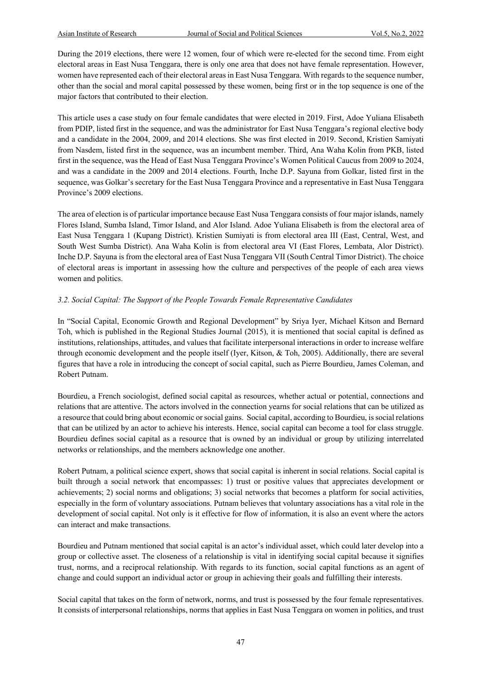During the 2019 elections, there were 12 women, four of which were re-elected for the second time. From eight electoral areas in East Nusa Tenggara, there is only one area that does not have female representation. However, women have represented each of their electoral areas in East Nusa Tenggara. With regards to the sequence number, other than the social and moral capital possessed by these women, being first or in the top sequence is one of the major factors that contributed to their election.

This article uses a case study on four female candidates that were elected in 2019. First, Adoe Yuliana Elisabeth from PDIP, listed first in the sequence, and was the administrator for East Nusa Tenggara's regional elective body and a candidate in the 2004, 2009, and 2014 elections. She was first elected in 2019. Second, Kristien Samiyati from Nasdem, listed first in the sequence, was an incumbent member. Third, Ana Waha Kolin from PKB, listed first in the sequence, was the Head of East Nusa Tenggara Province's Women Political Caucus from 2009 to 2024, and was a candidate in the 2009 and 2014 elections. Fourth, Inche D.P. Sayuna from Golkar, listed first in the sequence, was Golkar's secretary for the East Nusa Tenggara Province and a representative in East Nusa Tenggara Province's 2009 elections.

The area of election is of particular importance because East Nusa Tenggara consists of four major islands, namely Flores Island, Sumba Island, Timor Island, and Alor Island. Adoe Yuliana Elisabeth is from the electoral area of East Nusa Tenggara 1 (Kupang District). Kristien Sumiyati is from electoral area III (East, Central, West, and South West Sumba District). Ana Waha Kolin is from electoral area VI (East Flores, Lembata, Alor District). Inche D.P. Sayuna is from the electoral area of East Nusa Tenggara VII (South Central Timor District). The choice of electoral areas is important in assessing how the culture and perspectives of the people of each area views women and politics.

# *3.2. Social Capital: The Support of the People Towards Female Representative Candidates*

In "Social Capital, Economic Growth and Regional Development" by Sriya Iyer, Michael Kitson and Bernard Toh, which is published in the Regional Studies Journal (2015), it is mentioned that social capital is defined as institutions, relationships, attitudes, and values that facilitate interpersonal interactions in order to increase welfare through economic development and the people itself (Iyer, Kitson, & Toh, 2005). Additionally, there are several figures that have a role in introducing the concept of social capital, such as Pierre Bourdieu, James Coleman, and Robert Putnam.

Bourdieu, a French sociologist, defined social capital as resources, whether actual or potential, connections and relations that are attentive. The actors involved in the connection yearns for social relations that can be utilized as a resource that could bring about economic or social gains. Social capital, according to Bourdieu, is social relations that can be utilized by an actor to achieve his interests. Hence, social capital can become a tool for class struggle. Bourdieu defines social capital as a resource that is owned by an individual or group by utilizing interrelated networks or relationships, and the members acknowledge one another.

Robert Putnam, a political science expert, shows that social capital is inherent in social relations. Social capital is built through a social network that encompasses: 1) trust or positive values that appreciates development or achievements; 2) social norms and obligations; 3) social networks that becomes a platform for social activities, especially in the form of voluntary associations. Putnam believes that voluntary associations has a vital role in the development of social capital. Not only is it effective for flow of information, it is also an event where the actors can interact and make transactions.

Bourdieu and Putnam mentioned that social capital is an actor's individual asset, which could later develop into a group or collective asset. The closeness of a relationship is vital in identifying social capital because it signifies trust, norms, and a reciprocal relationship. With regards to its function, social capital functions as an agent of change and could support an individual actor or group in achieving their goals and fulfilling their interests.

Social capital that takes on the form of network, norms, and trust is possessed by the four female representatives. It consists of interpersonal relationships, norms that applies in East Nusa Tenggara on women in politics, and trust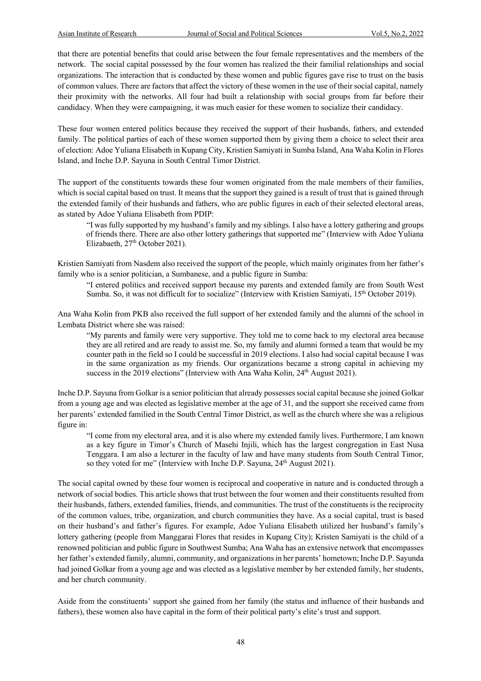that there are potential benefits that could arise between the four female representatives and the members of the network. The social capital possessed by the four women has realized the their familial relationships and social organizations. The interaction that is conducted by these women and public figures gave rise to trust on the basis of common values. There are factors that affect the victory of these women in the use of their social capital, namely their proximity with the networks. All four had built a relationship with social groups from far before their candidacy. When they were campaigning, it was much easier for these women to socialize their candidacy.

These four women entered politics because they received the support of their husbands, fathers, and extended family. The political parties of each of these women supported them by giving them a choice to select their area of election: Adoe Yuliana Elisabeth in Kupang City, Kristien Samiyati in Sumba Island, Ana Waha Kolin in Flores Island, and Inche D.P. Sayuna in South Central Timor District.

The support of the constituents towards these four women originated from the male members of their families, which is social capital based on trust. It means that the support they gained is a result of trust that is gained through the extended family of their husbands and fathers, who are public figures in each of their selected electoral areas, as stated by Adoe Yuliana Elisabeth from PDIP:

"I was fully supported by my husband's family and my siblings. I also have a lottery gathering and groups of friends there. There are also other lottery gatherings that supported me" (Interview with Adoe Yuliana Elizabaeth, 27<sup>th</sup> October 2021).

Kristien Samiyati from Nasdem also received the support of the people, which mainly originates from her father's family who is a senior politician, a Sumbanese, and a public figure in Sumba:

"I entered politics and received support because my parents and extended family are from South West Sumba. So, it was not difficult for to socialize" (Interview with Kristien Samiyati, 15th October 2019).

Ana Waha Kolin from PKB also received the full support of her extended family and the alumni of the school in Lembata District where she was raised:

"My parents and family were very supportive. They told me to come back to my electoral area because they are all retired and are ready to assist me. So, my family and alumni formed a team that would be my counter path in the field so I could be successful in 2019 elections. I also had social capital because I was in the same organization as my friends. Our organizations became a strong capital in achieving my success in the 2019 elections" (Interview with Ana Waha Kolin, 24<sup>th</sup> August 2021).

Inche D.P. Sayuna from Golkar is a senior politician that already possesses social capital because she joined Golkar from a young age and was elected as legislative member at the age of 31, and the support she received came from her parents' extended familied in the South Central Timor District, as well as the church where she was a religious figure in:

"I come from my electoral area, and it is also where my extended family lives. Furthermore, I am known as a key figure in Timor's Church of Masehi Injili, which has the largest congregation in East Nusa Tenggara. I am also a lecturer in the faculty of law and have many students from South Central Timor, so they voted for me" (Interview with Inche D.P. Sayuna, 24<sup>th</sup> August 2021).

The social capital owned by these four women is reciprocal and cooperative in nature and is conducted through a network of social bodies. This article shows that trust between the four women and their constituents resulted from their husbands, fathers, extended families, friends, and communities. The trust of the constituents is the reciprocity of the common values, tribe, organization, and church communities they have. As a social capital, trust is based on their husband's and father's figures. For example, Adoe Yuliana Elisabeth utilized her husband's family's lottery gathering (people from Manggarai Flores that resides in Kupang City); Kristen Samiyati is the child of a renowned politician and public figure in Southwest Sumba; Ana Waha has an extensive network that encompasses her father's extended family, alumni, community, and organizationsin her parents' hometown; Inche D.P. Sayunda had joined Golkar from a young age and was elected as a legislative member by her extended family, her students, and her church community.

Aside from the constituents' support she gained from her family (the status and influence of their husbands and fathers), these women also have capital in the form of their political party's elite's trust and support.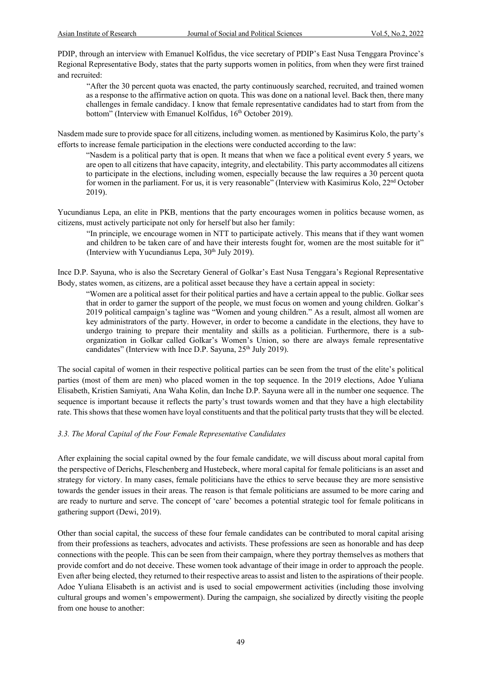PDIP, through an interview with Emanuel Kolfidus, the vice secretary of PDIP's East Nusa Tenggara Province's Regional Representative Body, states that the party supports women in politics, from when they were first trained and recruited:

"After the 30 percent quota was enacted, the party continuously searched, recruited, and trained women as a response to the affirmative action on quota. This was done on a national level. Back then, there many challenges in female candidacy. I know that female representative candidates had to start from from the bottom" (Interview with Emanuel Kolfidus, 16<sup>th</sup> October 2019).

Nasdem made sure to provide space for all citizens, including women. as mentioned by Kasimirus Kolo, the party's efforts to increase female participation in the elections were conducted according to the law:

"Nasdem is a political party that is open. It means that when we face a political event every 5 years, we are open to all citizens that have capacity, integrity, and electability. This party accommodates all citizens to participate in the elections, including women, especially because the law requires a 30 percent quota for women in the parliament. For us, it is very reasonable" (Interview with Kasimirus Kolo,  $22<sup>nd</sup>$  October 2019).

Yucundianus Lepa, an elite in PKB, mentions that the party encourages women in politics because women, as citizens, must actively participate not only for herself but also her family:

"In principle, we encourage women in NTT to participate actively. This means that if they want women and children to be taken care of and have their interests fought for, women are the most suitable for it" (Interview with Yucundianus Lepa,  $30<sup>th</sup>$  July 2019).

Ince D.P. Sayuna, who is also the Secretary General of Golkar's East Nusa Tenggara's Regional Representative Body, states women, as citizens, are a political asset because they have a certain appeal in society:

"Women are a political asset for their political parties and have a certain appeal to the public. Golkar sees that in order to garner the support of the people, we must focus on women and young children. Golkar's 2019 political campaign's tagline was "Women and young children." As a result, almost all women are key administrators of the party. However, in order to become a candidate in the elections, they have to undergo training to prepare their mentality and skills as a politician. Furthermore, there is a suborganization in Golkar called Golkar's Women's Union, so there are always female representative candidates" (Interview with Ince D.P. Sayuna, 25<sup>th</sup> July 2019).

The social capital of women in their respective political parties can be seen from the trust of the elite's political parties (most of them are men) who placed women in the top sequence. In the 2019 elections, Adoe Yuliana Elisabeth, Kristien Samiyati, Ana Waha Kolin, dan Inche D.P. Sayuna were all in the number one sequence. The sequence is important because it reflects the party's trust towards women and that they have a high electability rate. This shows that these women have loyal constituents and that the political party trusts that they will be elected.

## *3.3. The Moral Capital of the Four Female Representative Candidates*

After explaining the social capital owned by the four female candidate, we will discuss about moral capital from the perspective of Derichs, Fleschenberg and Hustebeck, where moral capital for female politicians is an asset and strategy for victory. In many cases, female politicians have the ethics to serve because they are more sensistive towards the gender issues in their areas. The reason is that female politicians are assumed to be more caring and are ready to nurture and serve. The concept of 'care' becomes a potential strategic tool for female politicans in gathering support (Dewi, 2019).

Other than social capital, the success of these four female candidates can be contributed to moral capital arising from their professions as teachers, advocates and activists. These professions are seen as honorable and has deep connections with the people. This can be seen from their campaign, where they portray themselves as mothers that provide comfort and do not deceive. These women took advantage of their image in order to approach the people. Even after being elected, they returned to their respective areas to assist and listen to the aspirations of their people. Adoe Yuliana Elisabeth is an activist and is used to social empowerment activities (including those involving cultural groups and women's empowerment). During the campaign, she socialized by directly visiting the people from one house to another: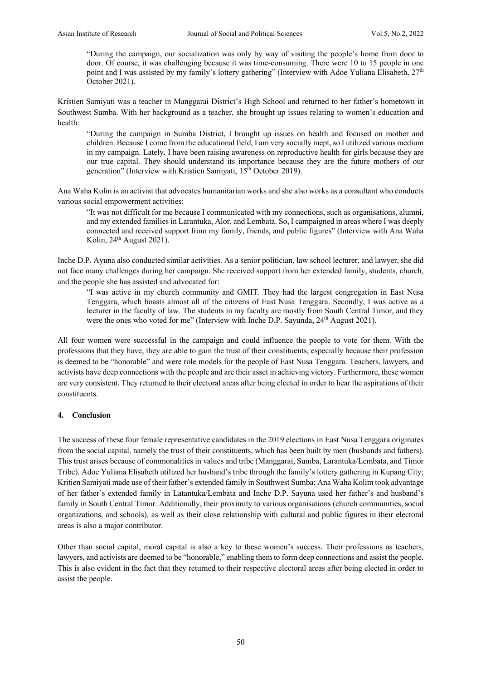"During the campaign, our socialization was only by way of visiting the people's home from door to door. Of course, it was challenging because it was time-consuming. There were 10 to 15 people in one point and I was assisted by my family's lottery gathering" (Interview with Adoe Yuliana Elisabeth,  $27<sup>th</sup>$ October 2021).

Kristien Samiyati was a teacher in Manggarai District's High School and returned to her father's hometown in Southwest Sumba. With her background as a teacher, she brought up issues relating to women's education and health:

"During the campaign in Sumba District, I brought up issues on health and focused on mother and children. Because I come from the educational field, I am very socially inept, so I utilized various medium in my campaign. Lately, I have been raising awareness on reproductive health for girls because they are our true capital. They should understand its importance because they are the future mothers of our generation" (Interview with Kristien Samiyati, 15<sup>th</sup> October 2019).

Ana Waha Kolin is an activist that advocates humanitarian works and she also works as a consultant who conducts various social empowerment activities:

"It was not difficult for me because I communicated with my connections, such as organisations, alumni, and my extended families in Larantuka, Alor, and Lembata. So, I campaigned in areas where I was deeply connected and received support from my family, friends, and public figures" (Interview with Ana Waha Kolin,  $24<sup>th</sup>$  August 2021).

Inche D.P. Ayuna also conducted similar activities. As a senior politician, law school lecturer, and lawyer, she did not face many challenges during her campaign. She received support from her extended family, students, church, and the people she has assisted and advocated for:

"I was active in my church community and GMIT. They had the largest congregation in East Nusa Tenggara, which boasts almost all of the citizens of East Nusa Tenggara. Secondly, I was active as a lecturer in the faculty of law. The students in my faculty are mostly from South Central Timor, and they were the ones who voted for me" (Interview with Inche D.P. Sayunda, 24<sup>th</sup> August 2021).

All four women were successful in the campaign and could influence the people to vote for them. With the professions that they have, they are able to gain the trust of their constituents, especially because their profession is deemed to be "honorable" and were role models for the people of East Nusa Tenggara. Teachers, lawyers, and activists have deep connections with the people and are their asset in achieving victory. Furthermore, these women are very consistent. They returned to their electoral areas after being elected in order to hear the aspirations of their constituents.

## **4. Conclusion**

The success of these four female representative candidates in the 2019 elections in East Nusa Tenggara originates from the social capital, namely the trust of their constituents, which has been built by men (husbands and fathers). This trust arises because of commonalities in values and tribe (Manggarai, Sumba, Larantuka/Lembata, and Timor Tribe). Adoe Yuliana Elisabeth utilized her husband's tribe through the family's lottery gathering in Kupang City; Kritien Samiyati made use of their father's extended family in Southwest Sumba; Ana Waha Kolim took advantage of her father's extended family in Latantuka/Lembata and Inche D.P. Sayuna used her father's and husband's family in South Central Timor. Additionally, their proximity to various organisations (church communities, social organizations, and schools), as well as their close relationship with cultural and public figures in their electoral areas is also a major contributor.

Other than social capital, moral capital is also a key to these women's success. Their professions as teachers, lawyers, and activists are deemed to be "honorable," enabling them to form deep connections and assist the people. This is also evident in the fact that they returned to their respective electoral areas after being elected in order to assist the people.